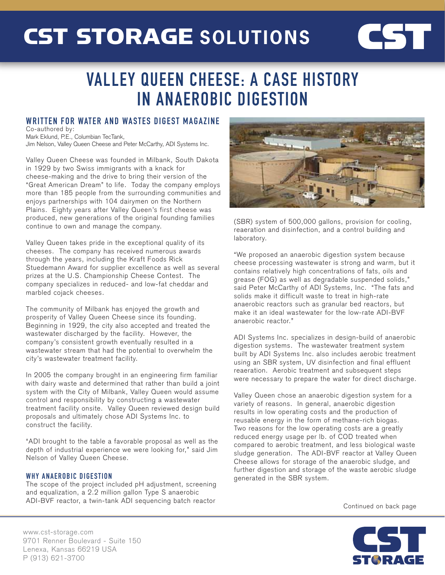## CST STORAGE **SOLUTIONS**

# CST

### VALLEY QUEEN CHEESE: A CASE HISTORY IN ANAEROBIC DIGESTION

#### WRITTEN FOR WATER AND WASTES DIGEST MAGAZINE Co-authored by:

Mark Eklund, P.E., Columbian TecTank, Jim Nelson, Valley Queen Cheese and Peter McCarthy, ADI Systems Inc.

Valley Queen Cheese was founded in Milbank, South Dakota in 1929 by two Swiss immigrants with a knack for cheese-making and the drive to bring their version of the "Great American Dream" to life. Today the company employs more than 185 people from the surrounding communities and enjoys partnerships with 104 dairymen on the Northern Plains. Eighty years after Valley Queen's first cheese was produced, new generations of the original founding families continue to own and manage the company.

Valley Queen takes pride in the exceptional quality of its cheeses. The company has received numerous awards through the years, including the Kraft Foods Rick Stuedemann Award for supplier excellence as well as several prizes at the U.S. Championship Cheese Contest. The company specializes in reduced- and low-fat cheddar and marbled cojack cheeses.

The community of Milbank has enjoyed the growth and prosperity of Valley Queen Cheese since its founding. Beginning in 1929, the city also accepted and treated the wastewater discharged by the facility. However, the company's consistent growth eventually resulted in a wastewater stream that had the potential to overwhelm the city's wastewater treatment facility.

In 2005 the company brought in an engineering firm familiar with dairy waste and determined that rather than build a joint system with the City of Milbank, Valley Queen would assume control and responsibility by constructing a wastewater treatment facility onsite. Valley Queen reviewed design build proposals and ultimately chose ADI Systems Inc. to construct the facility.

"ADI brought to the table a favorable proposal as well as the depth of industrial experience we were looking for," said Jim Nelson of Valley Queen Cheese.

### WHY ANAEROBIC DIGESTION

The scope of the project included pH adjustment, screening and equalization, a 2.2 million gallon Type S anaerobic ADI-BVF reactor, a twin-tank ADI sequencing batch reactor



(SBR) system of 500,000 gallons, provision for cooling, reaeration and disinfection, and a control building and laboratory.

"We proposed an anaerobic digestion system because cheese processing wastewater is strong and warm, but it contains relatively high concentrations of fats, oils and grease (FOG) as well as degradable suspended solids," said Peter McCarthy of ADI Systems, Inc. "The fats and solids make it difficult waste to treat in high-rate anaerobic reactors such as granular bed reactors, but make it an ideal wastewater for the low-rate ADI-BVF anaerobic reactor."

ADI Systems Inc. specializes in design-build of anaerobic digestion systems. The wastewater treatment system built by ADI Systems Inc. also includes aerobic treatment using an SBR system, UV disinfection and final effluent reaeration. Aerobic treatment and subsequent steps were necessary to prepare the water for direct discharge.

Valley Queen chose an anaerobic digestion system for a variety of reasons. In general, anaerobic digestion results in low operating costs and the production of reusable energy in the form of methane-rich biogas. Two reasons for the low operating costs are a greatly reduced energy usage per lb. of COD treated when compared to aerobic treatment, and less biological waste sludge generation. The ADI-BVF reactor at Valley Queen Cheese allows for storage of the anaerobic sludge, and further digestion and storage of the waste aerobic sludge generated in the SBR system.

Continued on back page



www.cst-storage.com 9701 Renner Boulevard - Suite 150 Lenexa, Kansas 66219 USA P (913) 621-3700